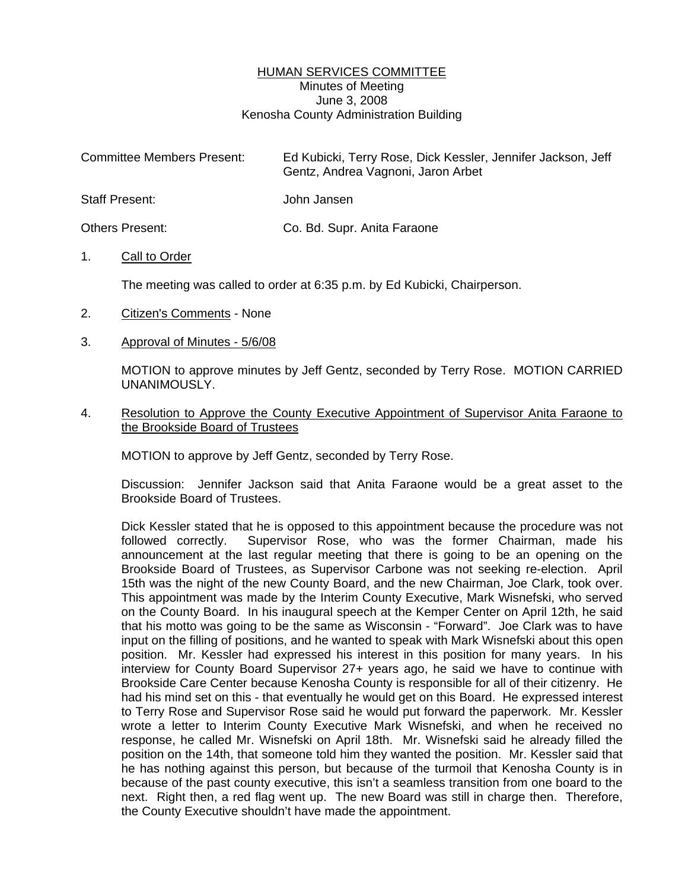## HUMAN SERVICES COMMITTEE Minutes of Meeting June 3, 2008 Kenosha County Administration Building

| <b>Committee Members Present:</b> | Ed Kubicki, Terry Rose, Dick Kessler, Jennifer Jackson, Jeff<br>Gentz, Andrea Vagnoni, Jaron Arbet |
|-----------------------------------|----------------------------------------------------------------------------------------------------|
| Staff Present:                    | John Jansen                                                                                        |
| <b>Others Present:</b>            | Co. Bd. Supr. Anita Faraone                                                                        |

## 1. Call to Order

The meeting was called to order at 6:35 p.m. by Ed Kubicki, Chairperson.

- 2. Citizen's Comments None
- 3. Approval of Minutes 5/6/08

 MOTION to approve minutes by Jeff Gentz, seconded by Terry Rose. MOTION CARRIED UNANIMOUSLY.

4. Resolution to Approve the County Executive Appointment of Supervisor Anita Faraone to the Brookside Board of Trustees

MOTION to approve by Jeff Gentz, seconded by Terry Rose.

 Discussion: Jennifer Jackson said that Anita Faraone would be a great asset to the Brookside Board of Trustees.

 Dick Kessler stated that he is opposed to this appointment because the procedure was not followed correctly. Supervisor Rose, who was the former Chairman, made his announcement at the last regular meeting that there is going to be an opening on the Brookside Board of Trustees, as Supervisor Carbone was not seeking re-election. April 15th was the night of the new County Board, and the new Chairman, Joe Clark, took over. This appointment was made by the Interim County Executive, Mark Wisnefski, who served on the County Board. In his inaugural speech at the Kemper Center on April 12th, he said that his motto was going to be the same as Wisconsin - "Forward". Joe Clark was to have input on the filling of positions, and he wanted to speak with Mark Wisnefski about this open position. Mr. Kessler had expressed his interest in this position for many years. In his interview for County Board Supervisor 27+ years ago, he said we have to continue with Brookside Care Center because Kenosha County is responsible for all of their citizenry. He had his mind set on this - that eventually he would get on this Board. He expressed interest to Terry Rose and Supervisor Rose said he would put forward the paperwork. Mr. Kessler wrote a letter to Interim County Executive Mark Wisnefski, and when he received no response, he called Mr. Wisnefski on April 18th. Mr. Wisnefski said he already filled the position on the 14th, that someone told him they wanted the position. Mr. Kessler said that he has nothing against this person, but because of the turmoil that Kenosha County is in because of the past county executive, this isn't a seamless transition from one board to the next. Right then, a red flag went up. The new Board was still in charge then. Therefore, the County Executive shouldn't have made the appointment.